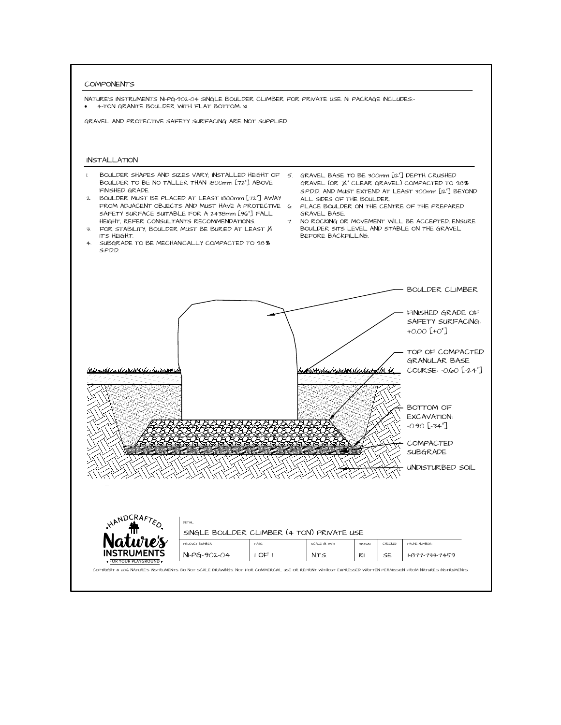COMPONENTS<br>
NATURE'S INSTRUMENTS NI-PG-902-04 SINGLE BOULDER CLIMBER FOR PRIVATE USE. NI PACKAGE INCLUDES<br>
4 4-TON GRANITE BOULDER WITH FLAT BOTTOM: x1<br>
4 4-TON GRAVEL AND PROTECTIVE SAFETY SURFACING ARE NOT SUPPLIED.<br>
1 B



- BOULDER SHAPES AND SIZES VARY; INSTALLED HEIGHT OF 5. GRAVEL BASE TO BE 300mm [12"] DEPTH CRUSHED<br>BOULDER TO BE NO TALLER THAN 1800mm [72"] ABOVE GRAVEL (OR 34" CLEAR GRAVEL) COMPACTED TO 98**8**
- $\frac{1}{3}$ FROM ADJACENT OBJECTS AND MUST HAVE A PROTECTS SAFETY SURFACE SUITABLE FOR A 2438mm [96"] FALL<br>HEIGHT, REFER CONSULTANTS RECOMMENDATIONS.<br>TOR STABILITY, BOULDER MUST BE BURIED AT LEAST /<br>TS HEIGHT.<br>4. SUBGRADE TO BE MECHAN
- .<br>ا 3. FOR STABILITY, BOULDER MUST BE BURIED AT LEAST  $\frac{1}{3}$  IT'S HEIGHT.<br>4. SUBGRADE TO BE MECHANICALLY COMPACTED TO 98%
- 
- FALLATION<br>BOULDER SHAPES AND SIZES VARY, INSTALLED HEIGHT OF 5. GRAVEL BASE TO BE 300mm [12"] DEPTH CRUSHED<br>BOULDER TO BE NO TALLER THAN 1800mm [72"] ABOVE GRAVEL (OR %"CLEAR GRAVEL) COMPACTED TO<br>BOULDER MUST BE PLACED AT  $\frac{1}{3}$ S.P.D.D. AND MUST EXTEND AT LEAST 300mm [12"] BEYOND ALL SIDES OF THE BOULDER. F OF 5. GRAVEL BASE TO BE 300mm [12"] DEPTH CRUSHED<br>VE GRAVEL (OR 34" CLEAR GRAVEL) COMPACTED TO 98<br>SP.D.D. AND MUST EXTEND AT LEAST 300mm [12"] BEY<br>WAY ALL SIDES OF THE BOULDER.<br>CTIVE 6. PLACE BOULDER ON THE CENTRE OF THE 5. SP. D.D. AND MUST EXTEND AT LEAST 300mm [12"] BEYOND ALL SIDES OF THE BOULDER.<br>TIVE 6. PLACE BOULDER ON THE CENTRE OF THE PREPARED.<br>L. GRAVEL BASE.<br>7. NO ROCKING OR MOVEMENT WILL BE ACCEPTED, ENSURE<br>8. BOULDER SITS LEVE
	-
	- GRAVEL BASE.<br>7. NO ROCKING OR MOVEMENT WILL BE ACCEPTED; ENSURE